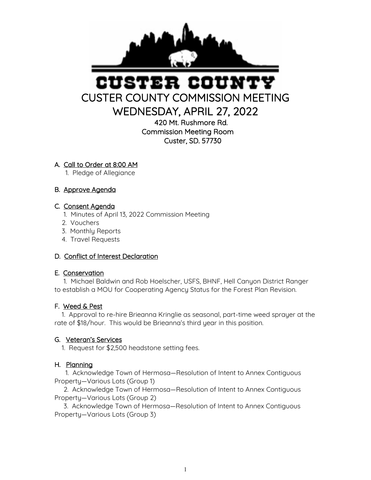

# STER COUI CUSTER COUNTY COMMISSION MEETING

WEDNESDAY, APRIL 27, 2022

420 Mt. Rushmore Rd. Commission Meeting Room Custer, SD. 57730

#### A. Call to Order at 8:00 AM

1. Pledge of Allegiance

# B. Approve Agenda

#### C. Consent Agenda

- 1. Minutes of April 13, 2022 Commission Meeting
- 2. Vouchers
- 3. Monthly Reports
- 4. Travel Requests

# D. Conflict of Interest Declaration

#### E. Conservation

 1. Michael Baldwin and Rob Hoelscher, USFS, BHNF, Hell Canyon District Ranger to establish a MOU for Cooperating Agency Status for the Forest Plan Revision.

# F. Weed & Pest

 1. Approval to re-hire Brieanna Kringlie as seasonal, part-time weed sprayer at the rate of \$18/hour. This would be Brieanna's third year in this position.

# G. Veteran's Services

1. Request for \$2,500 headstone setting fees.

# H. Planning

 1. Acknowledge Town of Hermosa—Resolution of Intent to Annex Contiguous Property—Various Lots (Group 1)

 2. Acknowledge Town of Hermosa—Resolution of Intent to Annex Contiguous Property—Various Lots (Group 2)

 3. Acknowledge Town of Hermosa—Resolution of Intent to Annex Contiguous Property—Various Lots (Group 3)